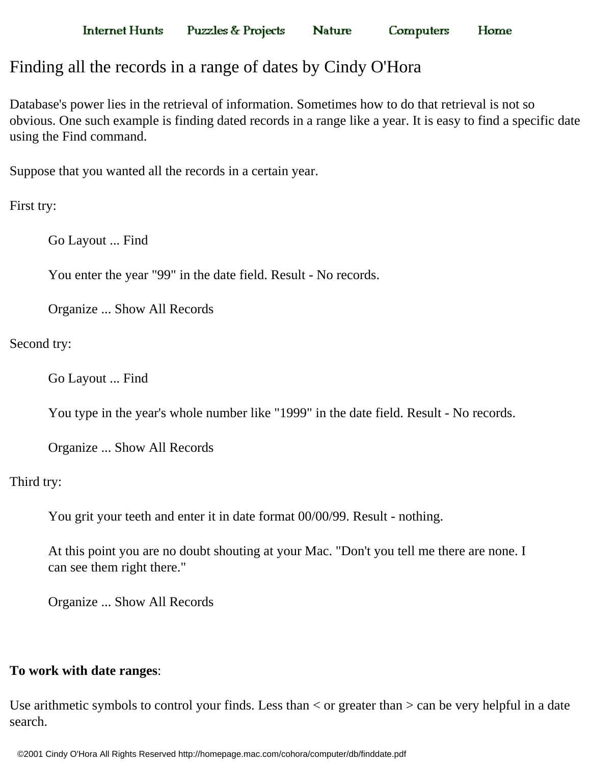**Nature** 

**Computers** Home

## Finding all the records in a range of dates by Cindy O'Hora

Database's power lies in the retrieval of information. Sometimes how to do that retrieval is not so obvious. One such example is finding dated records in a range like a year. It is easy to find a specific date using the Find command.

Suppose that you wanted all the records in a certain year.

First try:

Go Layout ... Find

You enter the year "99" in the date field. Result - No records.

Organize ... Show All Records

Second try:

Go Layout ... Find

You type in the year's whole number like "1999" in the date field. Result - No records.

Organize ... Show All Records

Third try:

You grit your teeth and enter it in date format 00/00/99. Result - nothing.

At this point you are no doubt shouting at your Mac. "Don't you tell me there are none. I can see them right there."

Organize ... Show All Records

## **To work with date ranges**:

Use arithmetic symbols to control your finds. Less than  $\lt$  or greater than  $\gt$  can be very helpful in a date search.

©2001 Cindy O'Hora All Rights Reserved http://homepage.mac.com/cohora/computer/db/finddate.pdf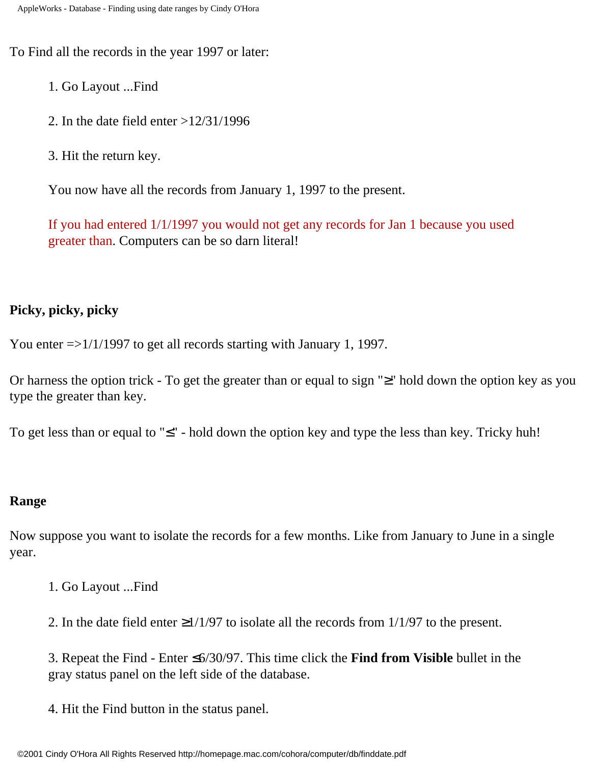To Find all the records in the year 1997 or later:

- 1. Go Layout ...Find
- 2. In the date field enter >12/31/1996
- 3. Hit the return key.

You now have all the records from January 1, 1997 to the present.

If you had entered 1/1/1997 you would not get any records for Jan 1 because you used greater than. Computers can be so darn literal!

## **Picky, picky, picky**

You enter =>1/1/1997 to get all records starting with January 1, 1997.

Or harness the option trick - To get the greater than or equal to sign "≥" hold down the option key as you type the greater than key.

To get less than or equal to "≤" - hold down the option key and type the less than key. Tricky huh!

## **Range**

Now suppose you want to isolate the records for a few months. Like from January to June in a single year.

- 1. Go Layout ...Find
- 2. In the date field enter  $\geq 1/1/97$  to isolate all the records from 1/1/97 to the present.

3. Repeat the Find - Enter ≤6/30/97. This time click the **Find from Visible** bullet in the gray status panel on the left side of the database.

4. Hit the Find button in the status panel.